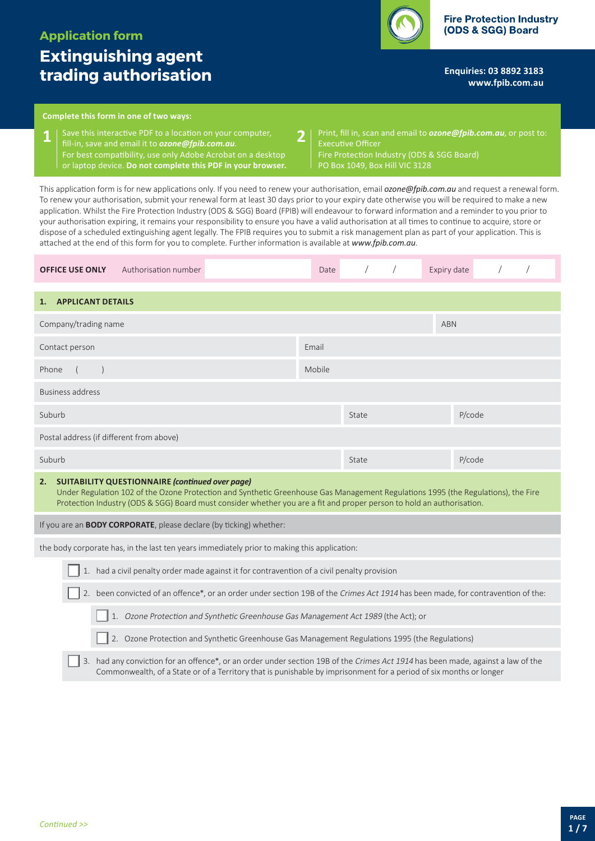# **Extinguishing agent trading authorisation**

**Enquiries: 03 8892 3183 <www.fpib.com.au>**

## **Complete this form in one of two ways:**

**1** Save this interactive PDF to a location on your computer, **2**<br>**1 i** fill-in, save and email it to **ozone@foib.com.au**. fill-in, save and email it to *[ozone@fpib.com.au](mailto:ozone@fpib.com.au)*. For best compatibility, use only Adobe Acrobat on a desktop or laptop device. **Do not complete this PDF in your browser.**

Print, fill in, scan and email to *[ozone@fpib.com.au](mailto:)*, or post to: Executive Officer Fire Protection Industry (ODS & SGG Board) PO Box 1049, Box Hill VIC 3128

This application form is for new applications only. If you need to renew your authorisation, email *[ozone@fpib.com.au](mailto:ozone@fpib.com.au)* and request a renewal form. To renew your authorisation, submit your renewal form at least 30 days prior to your expiry date otherwise you will be required to make a new application. Whilst the Fire Protection Industry (ODS & SGG) Board (FPIB) will endeavour to forward information and a reminder to you prior to your authorisation expiring, it remains your responsibility to ensure you have a valid authorisation at all times to continue to acquire, store or dispose of a scheduled extinguishing agent legally. The FPIB requires you to submit a risk management plan as part of your application. This is attached at the end of this form for you to complete. Further information is available at *www.fpib.com.au*.

| Authorisation number<br><b>OFFICE USE ONLY</b>                                                                                                                                                                                                                                                                             | Date  |       |  | Expiry date |  |  |
|----------------------------------------------------------------------------------------------------------------------------------------------------------------------------------------------------------------------------------------------------------------------------------------------------------------------------|-------|-------|--|-------------|--|--|
| <b>APPLICANT DETAILS</b><br>1.                                                                                                                                                                                                                                                                                             |       |       |  |             |  |  |
| Company/trading name                                                                                                                                                                                                                                                                                                       |       |       |  | <b>ABN</b>  |  |  |
| Contact person                                                                                                                                                                                                                                                                                                             | Email |       |  |             |  |  |
| Phone                                                                                                                                                                                                                                                                                                                      |       |       |  |             |  |  |
| Business address                                                                                                                                                                                                                                                                                                           |       |       |  |             |  |  |
| Suburb                                                                                                                                                                                                                                                                                                                     |       | State |  | P/code      |  |  |
| Postal address (if different from above)                                                                                                                                                                                                                                                                                   |       |       |  |             |  |  |
| Suburb                                                                                                                                                                                                                                                                                                                     |       | State |  | P/code      |  |  |
| <b>SUITABILITY QUESTIONNAIRE (continued over page)</b><br>2.<br>Under Regulation 102 of the Ozone Protection and Synthetic Greenhouse Gas Management Regulations 1995 (the Regulations), the Fire<br>Protection Industry (ODS & SGG) Board must consider whether you are a fit and proper person to hold an authorisation. |       |       |  |             |  |  |
| If you are an <b>BODY CORPORATE</b> , please declare (by ticking) whether:                                                                                                                                                                                                                                                 |       |       |  |             |  |  |
| the body corporate has, in the last ten years immediately prior to making this application:                                                                                                                                                                                                                                |       |       |  |             |  |  |
| 1. had a civil penalty order made against it for contravention of a civil penalty provision                                                                                                                                                                                                                                |       |       |  |             |  |  |
| $\mathbf{r}$ , and $\mathbf{r}$ are the set of the set of the set of the set of the set of the set of the set of the set of the set of the set of the set of the set of the set of the set of the set of the set of the set of the se                                                                                      |       |       |  |             |  |  |

2. been convicted of an offence\*, or an order under section 19B of the Crimes Act 1914 has been made, for contravention of the: 3. had any conviction for an offence\*, or an order under section 19B of the Crimes Act 1914 has been made, against a law of the 1. Ozone Protection and Synthetic Greenhouse Gas Management Act 1989 (the Act); or 2. Ozone Protection and Synthetic Greenhouse Gas Management Regulations 1995 (the Regulations)

Commonwealth, of a State or of a Territory that is punishable by imprisonment for a period of six months or longer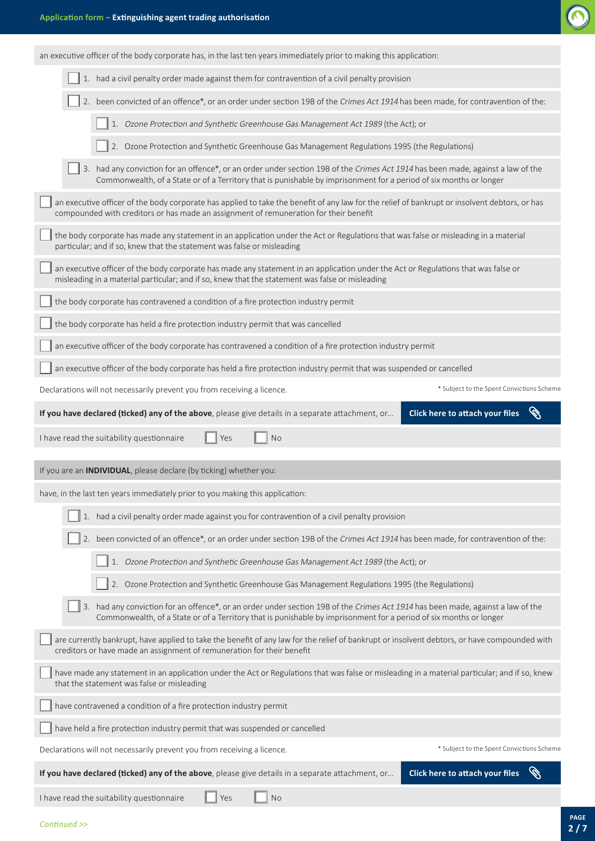an executive officer of the body corporate has, in the last ten years immediately prior to making this application:



| 1. had a civil penalty order made against them for contravention of a civil penalty provision                                                                                                                                                         |                                                                |
|-------------------------------------------------------------------------------------------------------------------------------------------------------------------------------------------------------------------------------------------------------|----------------------------------------------------------------|
| 2. been convicted of an offence*, or an order under section 19B of the Crimes Act 1914 has been made, for contravention of the:                                                                                                                       |                                                                |
| 1. Ozone Protection and Synthetic Greenhouse Gas Management Act 1989 (the Act); or                                                                                                                                                                    |                                                                |
| 2. Ozone Protection and Synthetic Greenhouse Gas Management Regulations 1995 (the Regulations)                                                                                                                                                        |                                                                |
| 3. had any conviction for an offence*, or an order under section 19B of the Crimes Act 1914 has been made, against a law of the<br>Commonwealth, of a State or of a Territory that is punishable by imprisonment for a period of six months or longer |                                                                |
| an executive officer of the body corporate has applied to take the benefit of any law for the relief of bankrupt or insolvent debtors, or has<br>compounded with creditors or has made an assignment of remuneration for their benefit                |                                                                |
| the body corporate has made any statement in an application under the Act or Regulations that was false or misleading in a material<br>particular; and if so, knew that the statement was false or misleading                                         |                                                                |
| an executive officer of the body corporate has made any statement in an application under the Act or Regulations that was false or<br>misleading in a material particular; and if so, knew that the statement was false or misleading                 |                                                                |
| the body corporate has contravened a condition of a fire protection industry permit                                                                                                                                                                   |                                                                |
| the body corporate has held a fire protection industry permit that was cancelled                                                                                                                                                                      |                                                                |
| an executive officer of the body corporate has contravened a condition of a fire protection industry permit                                                                                                                                           |                                                                |
| an executive officer of the body corporate has held a fire protection industry permit that was suspended or cancelled                                                                                                                                 |                                                                |
| Declarations will not necessarily prevent you from receiving a licence.                                                                                                                                                                               | * Subject to the Spent Convictions Scheme                      |
| If you have declared (ticked) any of the above, please give details in a separate attachment, or                                                                                                                                                      | <b>CONTROLL BOOK</b><br><b>Click here to attach your files</b> |
| <b>No</b><br>I have read the suitability questionnaire<br>Yes                                                                                                                                                                                         |                                                                |
|                                                                                                                                                                                                                                                       |                                                                |
| If you are an <b>INDIVIDUAL</b> , please declare (by ticking) whether you:                                                                                                                                                                            |                                                                |
| have, in the last ten years immediately prior to you making this application:                                                                                                                                                                         |                                                                |
| 1. had a civil penalty order made against you for contravention of a civil penalty provision                                                                                                                                                          |                                                                |
| 2. been convicted of an offence*, or an order under section 19B of the Crimes Act 1914 has been made, for contravention of the:                                                                                                                       |                                                                |
| 1. Ozone Protection and Synthetic Greenhouse Gas Management Act 1989 (the Act); or                                                                                                                                                                    |                                                                |
| 2. Ozone Protection and Synthetic Greenhouse Gas Management Regulations 1995 (the Regulations)                                                                                                                                                        |                                                                |
| 3. had any conviction for an offence*, or an order under section 19B of the Crimes Act 1914 has been made, against a law of the<br>Commonwealth, of a State or of a Territory that is punishable by imprisonment for a period of six months or longer |                                                                |
| are currently bankrupt, have applied to take the benefit of any law for the relief of bankrupt or insolvent debtors, or have compounded with<br>creditors or have made an assignment of remuneration for their benefit                                |                                                                |
| have made any statement in an application under the Act or Regulations that was false or misleading in a material particular; and if so, knew<br>that the statement was false or misleading                                                           |                                                                |
| have contravened a condition of a fire protection industry permit                                                                                                                                                                                     |                                                                |
| have held a fire protection industry permit that was suspended or cancelled                                                                                                                                                                           |                                                                |
| Declarations will not necessarily prevent you from receiving a licence.                                                                                                                                                                               | * Subject to the Spent Convictions Scheme                      |
| If you have declared (ticked) any of the above, please give details in a separate attachment, or                                                                                                                                                      | Click here to attach your files                                |
| <b>No</b><br>I have read the suitability questionnaire<br>Yes                                                                                                                                                                                         |                                                                |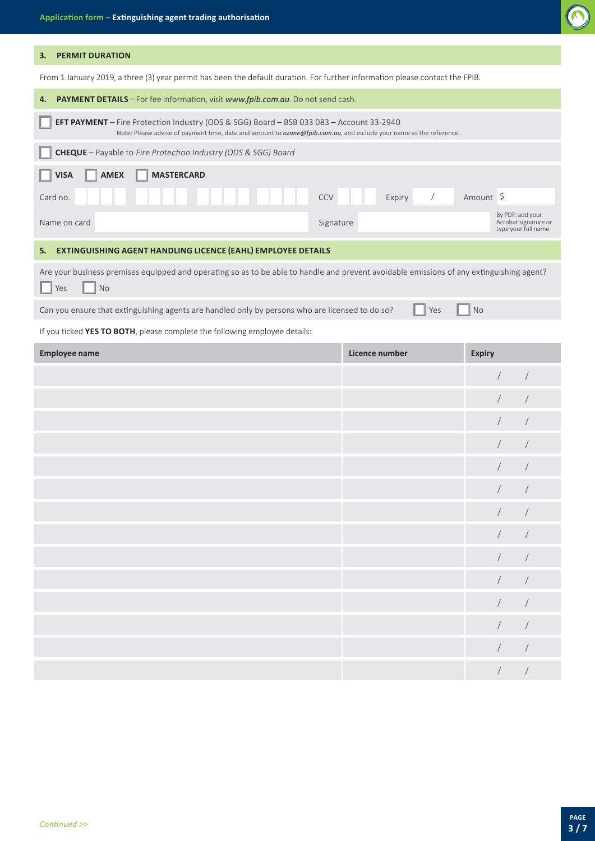

## **3. PERMIT DURATION**

From 1 January 2019, a three (3) year permit has been the default duration. For further information please contact the FPIB.

| PAYMENT DETAILS - For fee information, visit www.fpib.com.au. Do not send cash.<br>4.                                                                                                                          |                      |                                                                  |
|----------------------------------------------------------------------------------------------------------------------------------------------------------------------------------------------------------------|----------------------|------------------------------------------------------------------|
| EFT PAYMENT - Fire Protection Industry (ODS & SGG) Board - BSB 033 083 - Account 33-2940<br>Note: Please advise of payment time, date and amount to ozone@fpib.com.au, and include your name as the reference. |                      |                                                                  |
| CHEQUE - Payable to Fire Protection Industry (ODS & SGG) Board                                                                                                                                                 |                      |                                                                  |
| <b>MASTERCARD</b><br><b>VISA</b><br><b>AMEX</b>                                                                                                                                                                |                      |                                                                  |
| Card no.<br>CCV                                                                                                                                                                                                | $\sqrt{ }$<br>Expiry | Amount \$                                                        |
| Name on card                                                                                                                                                                                                   | Signature            | By PDF: add your<br>Acrobat signature or<br>type your full name. |
| EXTINGUISHING AGENT HANDLING LICENCE (EAHL) EMPLOYEE DETAILS<br>5.                                                                                                                                             |                      |                                                                  |
| Are your business premises equipped and operating so as to be able to handle and prevent avoidable emissions of any extinguishing agent?<br>No<br>Yes                                                          |                      |                                                                  |
| Can you ensure that extinguishing agents are handled only by persons who are licensed to do so?                                                                                                                | Yes                  | <b>No</b>                                                        |
| If you ticked YES TO BOTH, please complete the following employee details:                                                                                                                                     |                      |                                                                  |
| <b>Employee name</b>                                                                                                                                                                                           | Licence number       | <b>Expiry</b>                                                    |
|                                                                                                                                                                                                                |                      |                                                                  |
|                                                                                                                                                                                                                |                      |                                                                  |
|                                                                                                                                                                                                                |                      |                                                                  |
|                                                                                                                                                                                                                |                      | $\sqrt{2}$                                                       |
|                                                                                                                                                                                                                |                      |                                                                  |
|                                                                                                                                                                                                                |                      |                                                                  |
|                                                                                                                                                                                                                |                      |                                                                  |
|                                                                                                                                                                                                                |                      |                                                                  |
|                                                                                                                                                                                                                |                      | $\sqrt{2}$                                                       |
|                                                                                                                                                                                                                |                      | $\sqrt{2}$<br>$\sqrt{2}$                                         |
|                                                                                                                                                                                                                |                      | $\sqrt{2}$<br>$\sqrt{2}$                                         |
|                                                                                                                                                                                                                |                      | $\overline{ }$<br>$\overline{ }$                                 |
|                                                                                                                                                                                                                |                      | $\sqrt{2}$<br>$\sqrt{2}$                                         |
|                                                                                                                                                                                                                |                      | $\sqrt{2}$<br>$\sqrt{2}$                                         |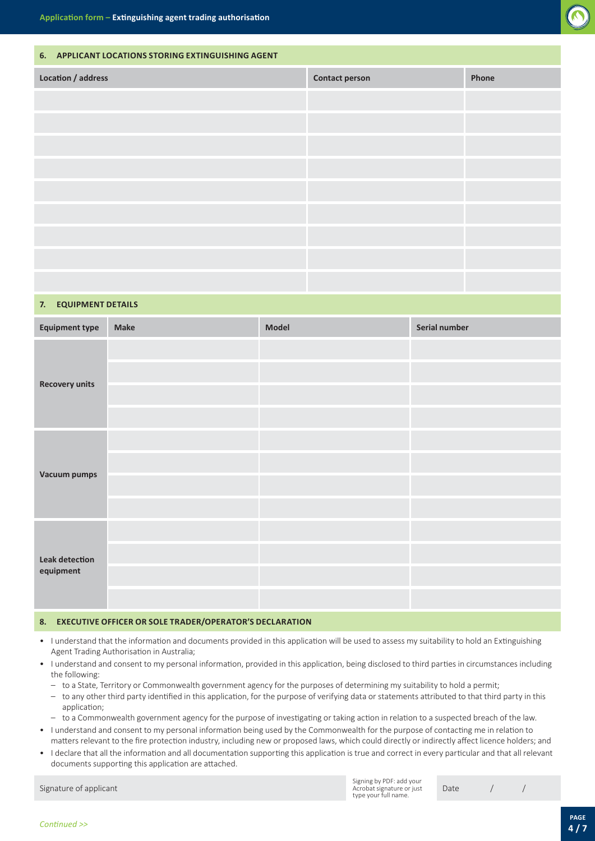

## **6. APPLICANT LOCATIONS STORING EXTINGUISHING AGENT**

| Location / address | <b>Contact person</b> | Phone |
|--------------------|-----------------------|-------|
|                    |                       |       |
|                    |                       |       |
|                    |                       |       |
|                    |                       |       |
|                    |                       |       |
|                    |                       |       |
|                    |                       |       |
|                    |                       |       |
|                    |                       |       |

### **7. EQUIPMENT DETAILS**

| <b>Equipment type</b>              | <b>Make</b> | Model | Serial number |
|------------------------------------|-------------|-------|---------------|
| <b>Recovery units</b>              |             |       |               |
|                                    |             |       |               |
|                                    |             |       |               |
|                                    |             |       |               |
|                                    |             |       |               |
|                                    |             |       |               |
| <b>Vacuum pumps</b>                |             |       |               |
|                                    |             |       |               |
| <b>Leak detection</b><br>equipment |             |       |               |
|                                    |             |       |               |
|                                    |             |       |               |
|                                    |             |       |               |

### **8. EXECUTIVE OFFICER OR SOLE TRADER/OPERATOR'S DECLARATION**

- I understand that the information and documents provided in this application will be used to assess my suitability to hold an Extinguishing Agent Trading Authorisation in Australia;
- I understand and consent to my personal information, provided in this application, being disclosed to third parties in circumstances including the following:
	- to a State, Territory or Commonwealth government agency for the purposes of determining my suitability to hold a permit;
	- to any other third party identified in this application, for the purpose of verifying data or statements attributed to that third party in this application;
- to a Commonwealth government agency for the purpose of investigating or taking action in relation to a suspected breach of the law.
- I understand and consent to my personal information being used by the Commonwealth for the purpose of contacting me in relation to matters relevant to the fire protection industry, including new or proposed laws, which could directly or indirectly affect licence holders; and
- I declare that all the information and all documentation supporting this application is true and correct in every particular and that all relevant documents supporting this application are attached.

Signing by PDF: add your Acrobat signature or just type your full name.

Signature of applicant and the contract of the contract of the contract of the contract of the contract of the contract of the contract of the contract of the contract of the contract of the contract of the contract of the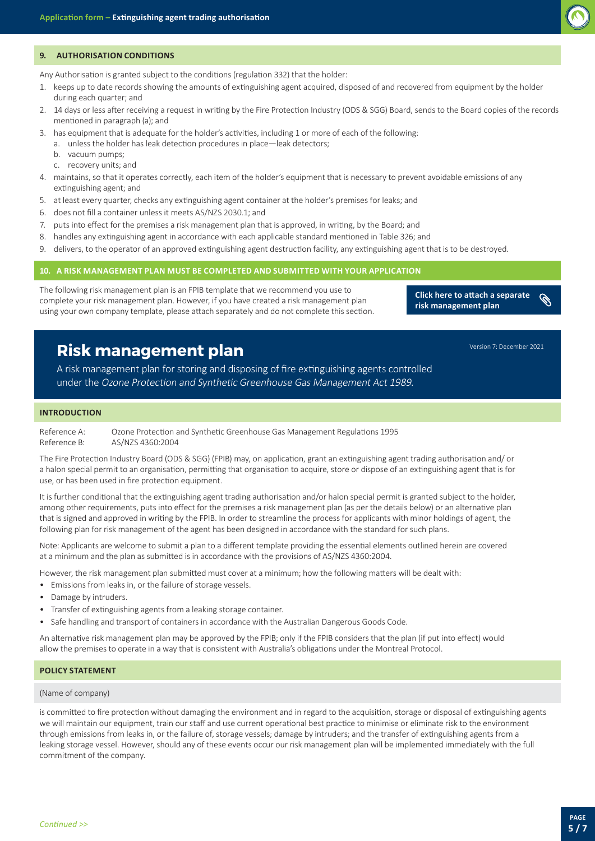

### **9. AUTHORISATION CONDITIONS**

Any Authorisation is granted subject to the conditions (regulation 332) that the holder:

- 1. keeps up to date records showing the amounts of extinguishing agent acquired, disposed of and recovered from equipment by the holder during each quarter; and
- 2. 14 days or less after receiving a request in writing by the Fire Protection Industry (ODS & SGG) Board, sends to the Board copies of the records mentioned in paragraph (a); and
- 3. has equipment that is adequate for the holder's activities, including 1 or more of each of the following:
	- a. unless the holder has leak detection procedures in place—leak detectors;
	- b. vacuum pumps;
	- c. recovery units; and
- 4. maintains, so that it operates correctly, each item of the holder's equipment that is necessary to prevent avoidable emissions of any extinguishing agent; and
- 5. at least every quarter, checks any extinguishing agent container at the holder's premises for leaks; and
- 6. does not fill a container unless it meets AS/NZS 2030.1; and
- 7. puts into effect for the premises a risk management plan that is approved, in writing, by the Board; and
- 8. handles any extinguishing agent in accordance with each applicable standard mentioned in Table 326; and
- 9. delivers, to the operator of an approved extinguishing agent destruction facility, any extinguishing agent that is to be destroyed.

## **10. A RISK MANAGEMENT PLAN MUST BE COMPLETED AND SUBMITTED WITH YOUR APPLICATION**

The following risk management plan is an FPIB template that we recommend you use to complete your risk management plan. However, if you have created a risk management plan using your own company template, please attach separately and do not complete this section.

 $\mathscr{C}$ **Click here to attach a separate risk management plan**

Version 7: December 2021

# **Risk management plan**

A risk management plan for storing and disposing of fire extinguishing agents controlled under the Ozone Protection and Synthetic Greenhouse Gas Management Act 1989.

## **INTRODUCTION**

Reference A: Ozone Protection and Synthetic Greenhouse Gas Management Regulations 1995 Reference B: AS/NZS 4360:2004

The Fire Protection Industry Board (ODS & SGG) (FPIB) may, on application, grant an extinguishing agent trading authorisation and/ or a halon special permit to an organisation, permitting that organisation to acquire, store or dispose of an extinguishing agent that is for use, or has been used in fire protection equipment.

It is further conditional that the extinguishing agent trading authorisation and/or halon special permit is granted subject to the holder, among other requirements, puts into effect for the premises a risk management plan (as per the details below) or an alternative plan that is signed and approved in writing by the FPIB. In order to streamline the process for applicants with minor holdings of agent, the following plan for risk management of the agent has been designed in accordance with the standard for such plans.

Note: Applicants are welcome to submit a plan to a different template providing the essential elements outlined herein are covered at a minimum and the plan as submitted is in accordance with the provisions of AS/NZS 4360:2004.

However, the risk management plan submitted must cover at a minimum; how the following matters will be dealt with:

- Emissions from leaks in, or the failure of storage vessels.
- Damage by intruders.
- Transfer of extinguishing agents from a leaking storage container.
- Safe handling and transport of containers in accordance with the Australian Dangerous Goods Code.

An alternative risk management plan may be approved by the FPIB; only if the FPIB considers that the plan (if put into effect) would allow the premises to operate in a way that is consistent with Australia's obligations under the Montreal Protocol.

## **POLICY STATEMENT**

#### (Name of company)

is committed to fire protection without damaging the environment and in regard to the acquisition, storage or disposal of extinguishing agents we will maintain our equipment, train our staff and use current operational best practice to minimise or eliminate risk to the environment through emissions from leaks in, or the failure of, storage vessels; damage by intruders; and the transfer of extinguishing agents from a leaking storage vessel. However, should any of these events occur our risk management plan will be implemented immediately with the full commitment of the company.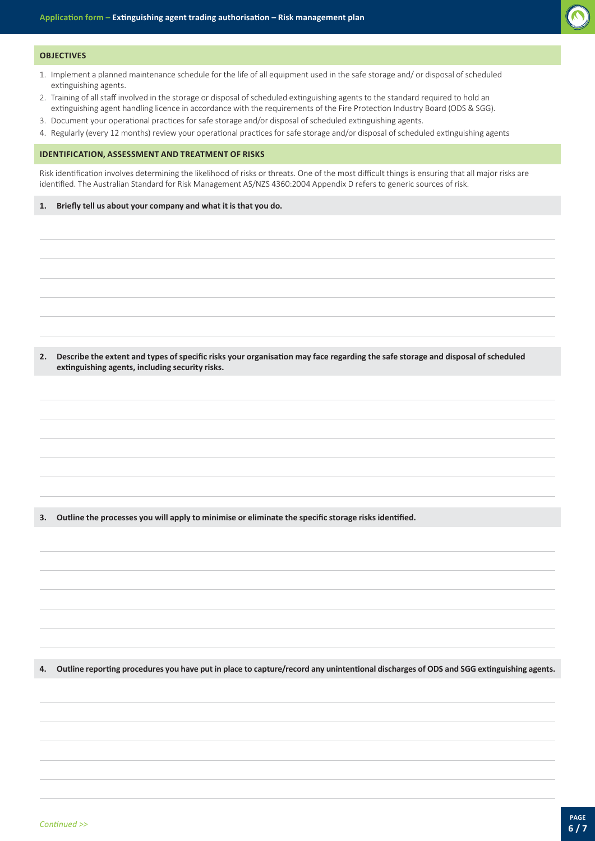

#### **OBJECTIVES**

- 1. Implement a planned maintenance schedule for the life of all equipment used in the safe storage and/ or disposal of scheduled extinguishing agents.
- 2. Training of all staff involved in the storage or disposal of scheduled extinguishing agents to the standard required to hold an extinguishing agent handling licence in accordance with the requirements of the Fire Protection Industry Board (ODS & SGG).
- 3. Document your operational practices for safe storage and/or disposal of scheduled extinguishing agents.
- 4. Regularly (every 12 months) review your operational practices for safe storage and/or disposal of scheduled extinguishing agents

#### **IDENTIFICATION, ASSESSMENT AND TREATMENT OF RISKS**

Risk identification involves determining the likelihood of risks or threats. One of the most difficult things is ensuring that all major risks are identified. The Australian Standard for Risk Management AS/NZS 4360:2004 Appendix D refers to generic sources of risk.

#### **1. Briefly tell us about your company and what it is that you do.**

**2. Describe the extent and types of specific risks your organisation may face regarding the safe storage and disposal of scheduled extinguishing agents, including security risks.**

**3. Outline the processes you will apply to minimise or eliminate the specific storage risks identified.**

**4. Outline reporting procedures you have put in place to capture/record any unintentional discharges of ODS and SGG extinguishing agents.**